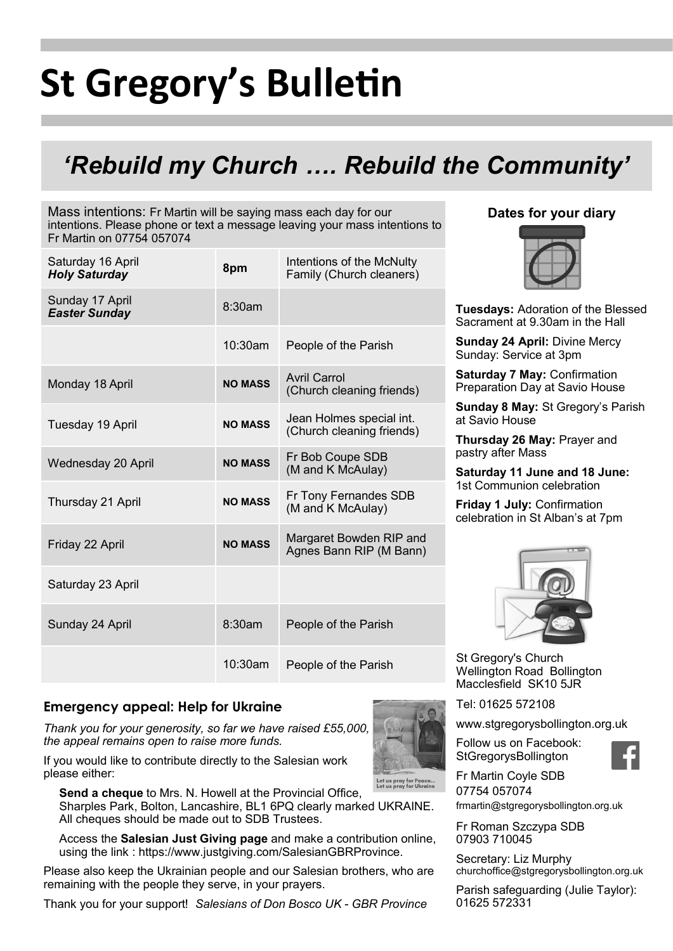# **St Gregory's Bulletin**

# *'Rebuild my Church …. Rebuild the Community'*

Mass intentions: Fr Martin will be saying mass each day for our intentions. Please phone or text a message leaving your mass intentions to Fr Martin on 07754 057074

| Saturday 16 April<br><b>Holy Saturday</b> | 8pm            | Intentions of the McNulty<br>Family (Church cleaners) |
|-------------------------------------------|----------------|-------------------------------------------------------|
| Sunday 17 April<br><b>Easter Sunday</b>   | 8:30am         |                                                       |
|                                           | 10:30am        | People of the Parish                                  |
| Monday 18 April                           | <b>NO MASS</b> | Avril Carrol<br>(Church cleaning friends)             |
| Tuesday 19 April                          | <b>NO MASS</b> | Jean Holmes special int.<br>(Church cleaning friends) |
| Wednesday 20 April                        | <b>NO MASS</b> | Fr Bob Coupe SDB<br>(M and K McAulay)                 |
| Thursday 21 April                         | <b>NO MASS</b> | Fr Tony Fernandes SDB<br>(M and K McAulay)            |
| Friday 22 April                           | <b>NO MASS</b> | Margaret Bowden RIP and<br>Agnes Bann RIP (M Bann)    |
| Saturday 23 April                         |                |                                                       |
| Sunday 24 April                           | 8:30am         | People of the Parish                                  |
|                                           | $10:30$ am     | People of the Parish                                  |

### **Emergency appeal: Help for Ukraine**

*Thank you for your generosity, so far we have raised £55,000, the appeal remains open to raise more funds.* 



Let us pray for Peace.<br>Let us pray for Ukrain **Send a cheque** to Mrs. N. Howell at the Provincial Office, Sharples Park, Bolton, Lancashire, BL1 6PQ clearly marked UKRAINE. All cheques should be made out to SDB Trustees.

Access the **Salesian Just Giving page** and make a contribution online, using the link : https://www.justgiving.com/SalesianGBRProvince.

Please also keep the Ukrainian people and our Salesian brothers, who are remaining with the people they serve, in your prayers.

Thank you for your support! *Salesians of Don Bosco UK - GBR Province*

# **Dates for your diary**



**Tuesdays:** Adoration of the Blessed Sacrament at 9.30am in the Hall

**Sunday 24 April:** Divine Mercy Sunday: Service at 3pm

**Saturday 7 May:** Confirmation Preparation Day at Savio House

**Sunday 8 May:** St Gregory's Parish at Savio House

**Thursday 26 May:** Prayer and pastry after Mass

**Saturday 11 June and 18 June:**  1st Communion celebration

**Friday 1 July:** Confirmation celebration in St Alban's at 7pm



St Gregory's Church Wellington Road Bollington Macclesfield SK10 5JR

Tel: 01625 572108

www.stgregorysbollington.org.uk

Follow us on Facebook: **StGregorysBollington** 



Fr Martin Coyle SDB 07754 057074

frmartin@stgregorysbollington.org.uk

Fr Roman Szczypa SDB 07903 710045

Secretary: Liz Murphy churchoffice@stgregorysbollington.org.uk

Parish safeguarding (Julie Taylor): 01625 572331